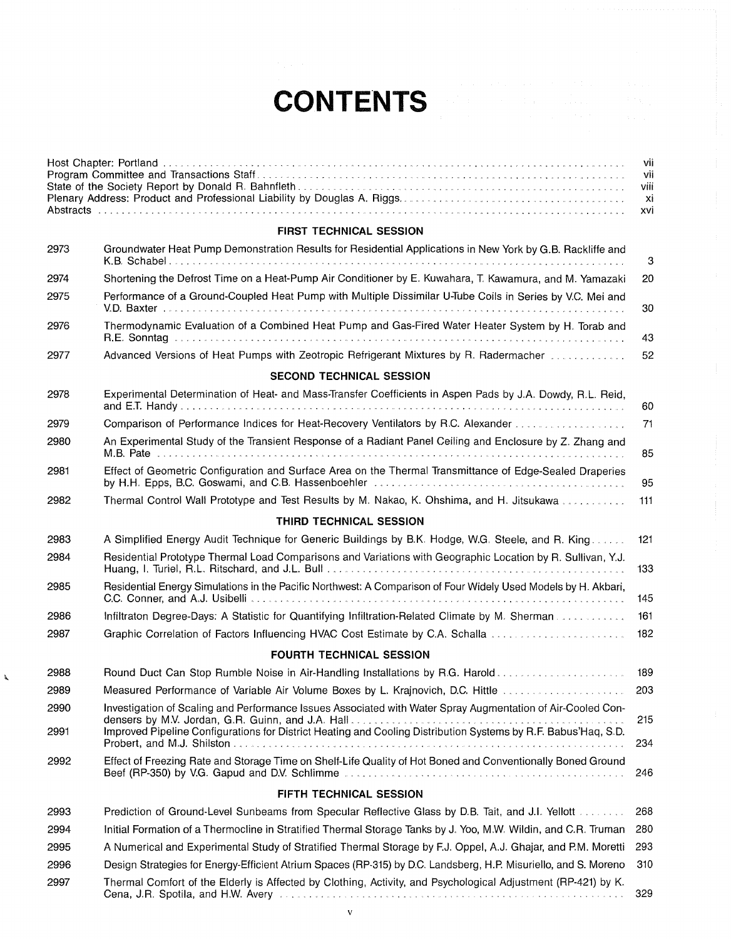## **CONTENTS**

|      |                                                                                                                                                                                                                                | vii<br>vii<br>Viii<br>xi<br>xvi |
|------|--------------------------------------------------------------------------------------------------------------------------------------------------------------------------------------------------------------------------------|---------------------------------|
|      | FIRST TECHNICAL SESSION                                                                                                                                                                                                        |                                 |
| 2973 | Groundwater Heat Pump Demonstration Results for Residential Applications in New York by G.B. Rackliffe and                                                                                                                     | $\ensuremath{\mathsf{3}}$       |
| 2974 | Shortening the Defrost Time on a Heat-Pump Air Conditioner by E. Kuwahara, T. Kawamura, and M. Yamazaki                                                                                                                        | 20                              |
| 2975 | Performance of a Ground-Coupled Heat Pump with Multiple Dissimilar U-Tube Coils in Series by V.C. Mei and                                                                                                                      | 30                              |
| 2976 | Thermodynamic Evaluation of a Combined Heat Pump and Gas-Fired Water Heater System by H. Torab and                                                                                                                             | 43                              |
| 2977 | Advanced Versions of Heat Pumps with Zeotropic Refrigerant Mixtures by R. Radermacher                                                                                                                                          | 52                              |
|      | <b>SECOND TECHNICAL SESSION</b>                                                                                                                                                                                                |                                 |
| 2978 | Experimental Determination of Heat- and Mass-Transfer Coefficients in Aspen Pads by J.A. Dowdy, R.L. Reid,                                                                                                                     | 60                              |
| 2979 | Comparison of Performance Indices for Heat-Recovery Ventilators by R.C. Alexander                                                                                                                                              | 71                              |
| 2980 | An Experimental Study of the Transient Response of a Radiant Panel Ceiling and Enclosure by Z. Zhang and                                                                                                                       | 85                              |
| 2981 | Effect of Geometric Configuration and Surface Area on the Thermal Transmittance of Edge-Sealed Draperies                                                                                                                       | 95                              |
| 2982 | Thermal Control Wall Prototype and Test Results by M. Nakao, K. Ohshima, and H. Jitsukawa                                                                                                                                      | 111                             |
|      | THIRD TECHNICAL SESSION                                                                                                                                                                                                        |                                 |
| 2983 | A Simplified Energy Audit Technique for Generic Buildings by B.K. Hodge, W.G. Steele, and R. King                                                                                                                              | 121                             |
| 2984 | Residential Prototype Thermal Load Comparisons and Variations with Geographic Location by R. Sullivan, Y.J.                                                                                                                    | 133                             |
| 2985 | Residential Energy Simulations in the Pacific Northwest: A Comparison of Four Widely Used Models by H. Akbari,                                                                                                                 | 145                             |
| 2986 | Infiltraton Degree-Days: A Statistic for Quantifying Infiltration-Related Climate by M. Sherman                                                                                                                                | 161                             |
| 2987 | Graphic Correlation of Factors Influencing HVAC Cost Estimate by C.A. Schalla                                                                                                                                                  | 182                             |
|      | <b>FOURTH TECHNICAL SESSION</b>                                                                                                                                                                                                |                                 |
| 2988 | Round Duct Can Stop Rumble Noise in Air-Handling Installations by R.G. Harold                                                                                                                                                  | 189                             |
| 2989 | Measured Performance of Variable Air Volume Boxes by L. Krajnovich, D.C. Hittle                                                                                                                                                | 203                             |
| 2990 | Investigation of Scaling and Performance Issues Associated with Water Spray Augmentation of Air-Cooled Con-                                                                                                                    |                                 |
| 2991 | Improved Pipeline Configurations for District Heating and Cooling Distribution Systems by R.F. Babus'Haq, S.D.                                                                                                                 | 215<br>234                      |
| 2992 | Effect of Freezing Rate and Storage Time on Shelf-Life Quality of Hot Boned and Conventionally Boned Ground                                                                                                                    | 246                             |
|      | FIFTH TECHNICAL SESSION                                                                                                                                                                                                        |                                 |
| 2993 | Prediction of Ground-Level Sunbeams from Specular Reflective Glass by D.B. Tait, and J.I. Yellott                                                                                                                              | 268                             |
| 2994 | Initial Formation of a Thermocline in Stratified Thermal Storage Tanks by J. Yoo, M.W. Wildin, and C.R. Truman                                                                                                                 | 280                             |
| 2995 | A Numerical and Experimental Study of Stratified Thermal Storage by F.J. Oppel, A.J. Ghajar, and P.M. Moretti                                                                                                                  | 293                             |
| 2996 | Design Strategies for Energy-Efficient Atrium Spaces (RP-315) by D.C. Landsberg, H.P. Misuriello, and S. Moreno                                                                                                                | 310                             |
| 2997 | Thermal Comfort of the Elderly is Affected by Clothing, Activity, and Psychological Adjustment (RP-421) by K.<br>Cena, J.R. Spotila, and H.W. Avery Management and Construction of the construction of the construction of the | 329                             |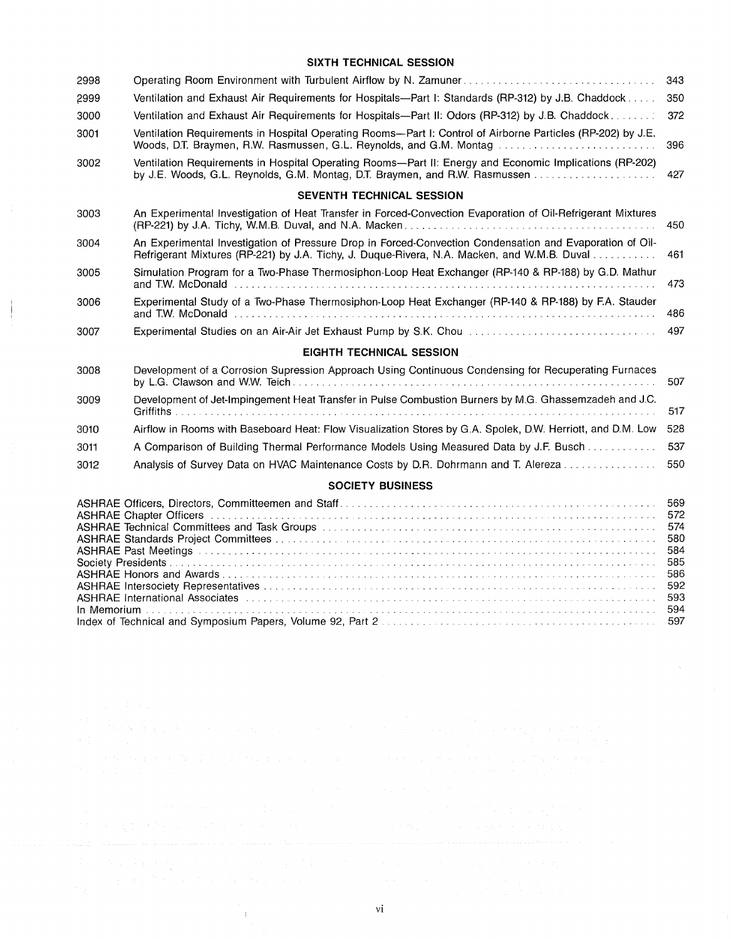## **SIXTH TECHNICAL SESSION**

| 2998 |                                                                                                                                                                                                                                                                                                                                                  | 343                                           |  |  |
|------|--------------------------------------------------------------------------------------------------------------------------------------------------------------------------------------------------------------------------------------------------------------------------------------------------------------------------------------------------|-----------------------------------------------|--|--|
| 2999 | Ventilation and Exhaust Air Requirements for Hospitals—Part I: Standards (RP-312) by J.B. Chaddock                                                                                                                                                                                                                                               |                                               |  |  |
| 3000 | Ventilation and Exhaust Air Requirements for Hospitals—Part II: Odors (RP-312) by J.B. Chaddock.                                                                                                                                                                                                                                                 |                                               |  |  |
| 3001 | Ventilation Requirements in Hospital Operating Rooms-Part I: Control of Airborne Particles (RP-202) by J.E.<br>Woods, D.T. Braymen, R.W. Rasmussen, G.L. Reynolds, and G.M. Montag                                                                                                                                                               |                                               |  |  |
| 3002 | Ventilation Requirements in Hospital Operating Rooms—Part II: Energy and Economic Implications (RP-202)<br>by J.E. Woods, G.L. Reynolds, G.M. Montag, D.T. Braymen, and R.W. Rasmussen                                                                                                                                                           | 427                                           |  |  |
|      | SEVENTH TECHNICAL SESSION                                                                                                                                                                                                                                                                                                                        |                                               |  |  |
| 3003 | An Experimental Investigation of Heat Transfer in Forced-Convection Evaporation of Oil-Refrigerant Mixtures                                                                                                                                                                                                                                      | 450                                           |  |  |
| 3004 | An Experimental Investigation of Pressure Drop in Forced-Convection Condensation and Evaporation of Oil-<br>Refrigerant Mixtures (RP-221) by J.A. Tichy, J. Duque-Rivera, N.A. Macken, and W.M.B. Duval<br>461                                                                                                                                   |                                               |  |  |
| 3005 | Simulation Program for a Two-Phase Thermosiphon-Loop Heat Exchanger (RP-140 & RP-188) by G.D. Mathur                                                                                                                                                                                                                                             | 473                                           |  |  |
| 3006 | Experimental Study of a Two-Phase Thermosiphon-Loop Heat Exchanger (RP-140 & RP-188) by F.A. Stauder                                                                                                                                                                                                                                             | 486                                           |  |  |
| 3007 |                                                                                                                                                                                                                                                                                                                                                  | 497                                           |  |  |
|      | <b>EIGHTH TECHNICAL SESSION</b>                                                                                                                                                                                                                                                                                                                  |                                               |  |  |
| 3008 | Development of a Corrosion Supression Approach Using Continuous Condensing for Recuperating Furnaces                                                                                                                                                                                                                                             | 507                                           |  |  |
| 3009 | Development of Jet-Impingement Heat Transfer in Pulse Combustion Burners by M.G. Ghassemzadeh and J.C.                                                                                                                                                                                                                                           | 517                                           |  |  |
| 3010 | Airflow in Rooms with Baseboard Heat: Flow Visualization Stores by G.A. Spolek, D.W. Herriott, and D.M. Low                                                                                                                                                                                                                                      | 528                                           |  |  |
| 3011 | A Comparison of Building Thermal Performance Models Using Measured Data by J.F. Busch                                                                                                                                                                                                                                                            | 537                                           |  |  |
| 3012 | Analysis of Survey Data on HVAC Maintenance Costs by D.R. Dohrmann and T. Alereza                                                                                                                                                                                                                                                                | 550                                           |  |  |
|      | <b>SOCIETY BUSINESS</b>                                                                                                                                                                                                                                                                                                                          |                                               |  |  |
|      | ASHRAE Chapter Officers (Alexandre and Alexandre and Alexandre and Alexandre and Alexandre and Alexandre and A<br>ASHRAE Technical Committees and Task Groups [11] [11] Alternative and the control of the control of the control of the control of the control of the control of the control of the control of the control of the control of th | 569<br>572<br>574<br>580<br>584<br>585<br>586 |  |  |

ASHRAE lntersociety Representatives .. ASHRAE International Associates . In Memorium ......... . Index of Technical and Symposium Papers, Volume 92, Part 2 **Entertainment in the intervention of Technical** 

**Same Strategies** 

 $\mathfrak{t}$ 

vi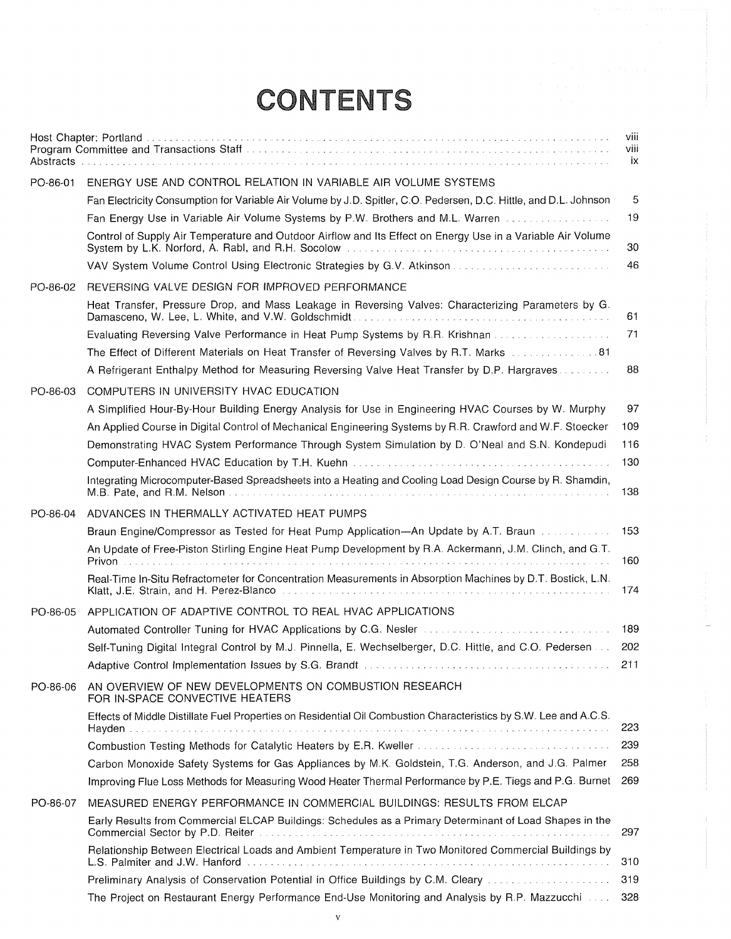## **CONTENTS**

|          |                                                                                                                                                                                                                                      | viii<br>viii<br>ix |
|----------|--------------------------------------------------------------------------------------------------------------------------------------------------------------------------------------------------------------------------------------|--------------------|
| PO-86-01 | ENERGY USE AND CONTROL RELATION IN VARIABLE AIR VOLUME SYSTEMS                                                                                                                                                                       |                    |
|          | Fan Electricity Consumption for Variable Air Volume by J.D. Spitler, C.O. Pedersen, D.C. Hittle, and D.L. Johnson                                                                                                                    | 5                  |
|          | Fan Energy Use in Variable Air Volume Systems by P.W. Brothers and M.L. Warren                                                                                                                                                       | 19                 |
|          | Control of Supply Air Temperature and Outdoor Airflow and Its Effect on Energy Use in a Variable Air Volume                                                                                                                          | 30                 |
|          | VAV System Volume Control Using Electronic Strategies by G.V. Atkinson                                                                                                                                                               | 46                 |
| PO-86-02 | REVERSING VALVE DESIGN FOR IMPROVED PERFORMANCE                                                                                                                                                                                      |                    |
|          | Heat Transfer, Pressure Drop, and Mass Leakage in Reversing Valves: Characterizing Parameters by G.                                                                                                                                  | 61                 |
|          | Evaluating Reversing Valve Performance in Heat Pump Systems by R.R. Krishnan                                                                                                                                                         | 71                 |
|          | 18. The Effect of Different Materials on Heat Transfer of Reversing Valves by R.T. Marks                                                                                                                                             |                    |
|          | A Refrigerant Enthalpy Method for Measuring Reversing Valve Heat Transfer by D.P. Hargraves                                                                                                                                          | 88                 |
| PO-86-03 | COMPUTERS IN UNIVERSITY HVAC EDUCATION                                                                                                                                                                                               |                    |
|          | A Simplified Hour-By-Hour Building Energy Analysis for Use in Engineering HVAC Courses by W. Murphy                                                                                                                                  | 97                 |
|          | An Applied Course in Digital Control of Mechanical Engineering Systems by R.R. Crawford and W.F. Stoecker                                                                                                                            | 109                |
|          | Demonstrating HVAC System Performance Through System Simulation by D. O'Neal and S.N. Kondepudi                                                                                                                                      | 116                |
|          |                                                                                                                                                                                                                                      | 130                |
|          | Integrating Microcomputer-Based Spreadsheets into a Heating and Cooling Load Design Course by R. Shamdin,<br>M.B. Pate, and R.M. Nelson.                                                                                             | 138                |
| PO-86-04 | ADVANCES IN THERMALLY ACTIVATED HEAT PUMPS                                                                                                                                                                                           |                    |
|          | Braun Engine/Compressor as Tested for Heat Pump Application-An Update by A.T. Braun Alman Alman And Heat                                                                                                                             | 153                |
|          | An Update of Free-Piston Stirling Engine Heat Pump Development by R.A. Ackermann, J.M. Clinch, and G.T.                                                                                                                              | 160                |
|          | Real-Time In-Situ Refractometer for Concentration Measurements in Absorption Machines by D.T. Bostick, L.N.<br>Klatt, J.E. Strain, and H. Perez-Blanco <b>Matter Constructs of Constructs and Constructs</b> Constructs of the Const | 174                |
| PO-86-05 | APPLICATION OF ADAPTIVE CONTROL TO REAL HVAC APPLICATIONS                                                                                                                                                                            |                    |
|          | Automated Controller Tuning for HVAC Applications by C.G. Nesler <b>Contract Controller Controller</b> Tuning for HVAC Applications by C.G. Nesler Contract Controller                                                               | 189                |
|          | Self-Tuning Digital Integral Control by M.J. Pinnella, E. Wechselberger, D.C. Hittle, and C.O. Pedersen                                                                                                                              | 202                |
|          |                                                                                                                                                                                                                                      | 211                |
| PO-86-06 | AN OVERVIEW OF NEW DEVELOPMENTS ON COMBUSTION RESEARCH<br>FOR IN-SPACE CONVECTIVE HEATERS                                                                                                                                            |                    |
|          | Effects of Middle Distillate Fuel Properties on Residential Oil Combustion Characteristics by S.W. Lee and A.C.S.<br>Hayden.                                                                                                         | 223                |
|          | Combustion Testing Methods for Catalytic Heaters by E.R. Kweller Allen and Combustion Computer of Computer Section 1                                                                                                                 | 239                |
|          | Carbon Monoxide Safety Systems for Gas Appliances by M.K. Goldstein, T.G. Anderson, and J.G. Palmer                                                                                                                                  | 258                |
|          | Improving Flue Loss Methods for Measuring Wood Heater Thermal Performance by P.E. Tiegs and P.G. Burnet                                                                                                                              | 269                |
| PO-86-07 | MEASURED ENERGY PERFORMANCE IN COMMERCIAL BUILDINGS: RESULTS FROM ELCAP                                                                                                                                                              |                    |
|          | Early Results from Commercial ELCAP Buildings: Schedules as a Primary Determinant of Load Shapes in the<br>Commercial Sector by P.D. Reiter expressional experience of the contract of the contract of the contract of the           | 297                |
|          | Relationship Between Electrical Loads and Ambient Temperature in Two Monitored Commercial Buildings by                                                                                                                               | 310                |
|          | Preliminary Analysis of Conservation Potential in Office Buildings by C.M. Cleary [100] Analysis (1000)                                                                                                                              | 319                |
|          | The Project on Restaurant Energy Performance End-Use Monitoring and Analysis by R.P. Mazzucchi                                                                                                                                       | 328                |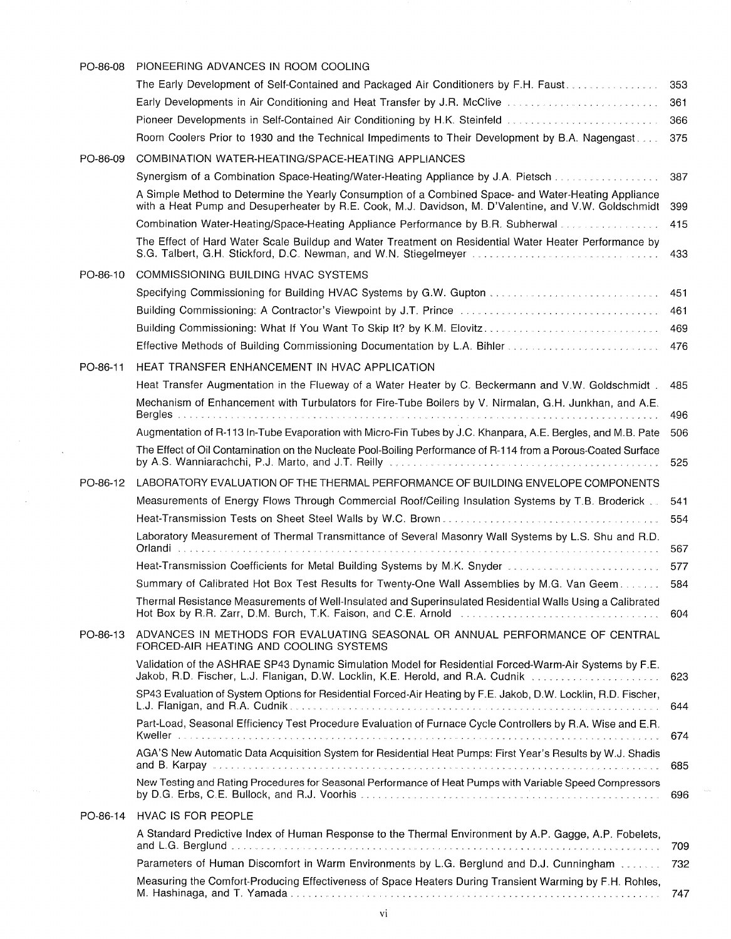| PO-86-08 | PIONEERING ADVANCES IN ROOM COOLING                                                                                                                                                                                            |     |
|----------|--------------------------------------------------------------------------------------------------------------------------------------------------------------------------------------------------------------------------------|-----|
|          | The Early Development of Self-Contained and Packaged Air Conditioners by F.H. Faust.                                                                                                                                           | 353 |
|          | Early Developments in Air Conditioning and Heat Transfer by J.R. McClive [11] [11] Developments in Air Conditioning and Heat Transfer by J.R. McClive [11] 11] [11] Developments in Air Conditioning and Heat Transfer Develop | 361 |
|          | Pioneer Developments in Self-Contained Air Conditioning by H.K. Steinfeld                                                                                                                                                      | 366 |
|          | Room Coolers Prior to 1930 and the Technical Impediments to Their Development by B.A. Nagengast                                                                                                                                | 375 |
| PO-86-09 | COMBINATION WATER-HEATING/SPACE-HEATING APPLIANCES                                                                                                                                                                             |     |
|          | Synergism of a Combination Space-Heating/Water-Heating Appliance by J.A. Pietsch                                                                                                                                               | 387 |
|          | A Simple Method to Determine the Yearly Consumption of a Combined Space- and Water-Heating Appliance<br>with a Heat Pump and Desuperheater by R.E. Cook, M.J. Davidson, M. D'Valentine, and V.W. Goldschmidt                   | 399 |
|          | Combination Water-Heating/Space-Heating Appliance Performance by B.R. Subherwal                                                                                                                                                | 415 |
|          | The Effect of Hard Water Scale Buildup and Water Treatment on Residential Water Heater Performance by<br>S.G. Talbert, G.H. Stickford, D.C. Newman, and W.N. Stiegelmeyer                                                      | 433 |
| PO-86-10 | COMMISSIONING BUILDING HVAC SYSTEMS                                                                                                                                                                                            |     |
|          |                                                                                                                                                                                                                                | 451 |
|          |                                                                                                                                                                                                                                | 461 |
|          | Building Commissioning: What If You Want To Skip It? by K.M. Elovitz                                                                                                                                                           | 469 |
|          | Effective Methods of Building Commissioning Documentation by L.A. Bihler                                                                                                                                                       | 476 |
| PO-86-11 | HEAT TRANSFER ENHANCEMENT IN HVAC APPLICATION                                                                                                                                                                                  |     |
|          | Heat Transfer Augmentation in the Flueway of a Water Heater by C. Beckermann and V.W. Goldschmidt.                                                                                                                             | 485 |
|          | Mechanism of Enhancement with Turbulators for Fire-Tube Boilers by V. Nirmalan, G.H. Junkhan, and A.E.                                                                                                                         | 496 |
|          | Augmentation of R-113 In-Tube Evaporation with Micro-Fin Tubes by J.C. Khanpara, A.E. Bergles, and M.B. Pate                                                                                                                   | 506 |
|          | The Effect of Oil Contamination on the Nucleate Pool-Boiling Performance of R-114 from a Porous-Coated Surface<br>by A.S. Wanniarachchi, P.J. Marto, and J.T. Reilly contract and successive and                               | 525 |
| PO-86-12 | LABORATORY EVALUATION OF THE THERMAL PERFORMANCE OF BUILDING ENVELOPE COMPONENTS                                                                                                                                               |     |
|          | Measurements of Energy Flows Through Commercial Roof/Ceiling Insulation Systems by T.B. Broderick                                                                                                                              | 541 |
|          | Heat-Transmission Tests on Sheet Steel Walls by W.C. Brown                                                                                                                                                                     | 554 |
|          | Laboratory Measurement of Thermal Transmittance of Several Masonry Wall Systems by L.S. Shu and R.D.<br>Orlandi                                                                                                                | 567 |
|          | Heat-Transmission Coefficients for Metal Building Systems by M.K. Snyder                                                                                                                                                       | 577 |
|          | Summary of Calibrated Hot Box Test Results for Twenty-One Wall Assemblies by M.G. Van Geem                                                                                                                                     | 584 |
|          | Thermal Resistance Measurements of Well-Insulated and Superinsulated Residential Walls Using a Calibrated<br>Hot Box by R.R. Zarr, D.M. Burch, T.K. Faison, and C.E. Arnold [10] [10] [10] Hot Box by R.R. Zarr, D.M. Burch,   | 604 |
| PO-86-13 | ADVANCES IN METHODS FOR EVALUATING SEASONAL OR ANNUAL PERFORMANCE OF CENTRAL<br>FORCED-AIR HEATING AND COOLING SYSTEMS                                                                                                         |     |
|          | Validation of the ASHRAE SP43 Dynamic Simulation Model for Residential Forced-Warm-Air Systems by F.E.<br>Jakob, R.D. Fischer, L.J. Flanigan, D.W. Locklin, K.E. Herold, and R.A. Cudnik                                       | 623 |
|          | SP43 Evaluation of System Options for Residential Forced-Air Heating by F.E. Jakob, D.W. Locklin, R.D. Fischer,                                                                                                                | 644 |
|          | Part-Load, Seasonal Efficiency Test Procedure Evaluation of Furnace Cycle Controllers by R.A. Wise and E.R.                                                                                                                    | 674 |
|          | AGA'S New Automatic Data Acquisition System for Residential Heat Pumps: First Year's Results by W.J. Shadis                                                                                                                    | 685 |
|          | New Testing and Rating Procedures for Seasonal Performance of Heat Pumps with Variable Speed Compressors                                                                                                                       | 696 |
| PO-86-14 | HVAC IS FOR PEOPLE                                                                                                                                                                                                             |     |
|          | A Standard Predictive Index of Human Response to the Thermal Environment by A.P. Gagge, A.P. Fobelets,                                                                                                                         | 709 |
|          | Parameters of Human Discomfort in Warm Environments by L.G. Berglund and D.J. Cunningham                                                                                                                                       | 732 |
|          | Measuring the Comfort-Producing Effectiveness of Space Heaters During Transient Warming by F.H. Rohles,                                                                                                                        | 747 |

 $\sim$ 

VI